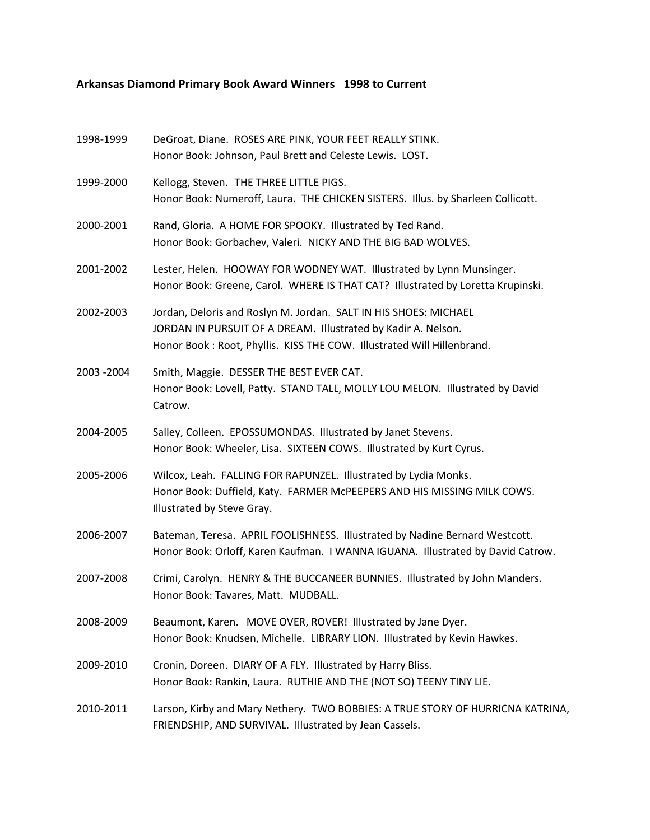## **Arkansas Diamond Primary Book Award Winners 1998 to Current**

| 1998-1999   | DeGroat, Diane. ROSES ARE PINK, YOUR FEET REALLY STINK.<br>Honor Book: Johnson, Paul Brett and Celeste Lewis. LOST.                                                                                         |
|-------------|-------------------------------------------------------------------------------------------------------------------------------------------------------------------------------------------------------------|
| 1999-2000   | Kellogg, Steven. THE THREE LITTLE PIGS.<br>Honor Book: Numeroff, Laura. THE CHICKEN SISTERS. Illus. by Sharleen Collicott.                                                                                  |
| 2000-2001   | Rand, Gloria. A HOME FOR SPOOKY. Illustrated by Ted Rand.<br>Honor Book: Gorbachev, Valeri. NICKY AND THE BIG BAD WOLVES.                                                                                   |
| 2001-2002   | Lester, Helen. HOOWAY FOR WODNEY WAT. Illustrated by Lynn Munsinger.<br>Honor Book: Greene, Carol. WHERE IS THAT CAT? Illustrated by Loretta Krupinski.                                                     |
| 2002-2003   | Jordan, Deloris and Roslyn M. Jordan. SALT IN HIS SHOES: MICHAEL<br>JORDAN IN PURSUIT OF A DREAM. Illustrated by Kadir A. Nelson.<br>Honor Book: Root, Phyllis. KISS THE COW. Illustrated Will Hillenbrand. |
| 2003 - 2004 | Smith, Maggie. DESSER THE BEST EVER CAT.<br>Honor Book: Lovell, Patty. STAND TALL, MOLLY LOU MELON. Illustrated by David<br>Catrow.                                                                         |
| 2004-2005   | Salley, Colleen. EPOSSUMONDAS. Illustrated by Janet Stevens.<br>Honor Book: Wheeler, Lisa. SIXTEEN COWS. Illustrated by Kurt Cyrus.                                                                         |
| 2005-2006   | Wilcox, Leah. FALLING FOR RAPUNZEL. Illustrated by Lydia Monks.<br>Honor Book: Duffield, Katy. FARMER McPEEPERS AND HIS MISSING MILK COWS.<br>Illustrated by Steve Gray.                                    |
| 2006-2007   | Bateman, Teresa. APRIL FOOLISHNESS. Illustrated by Nadine Bernard Westcott.<br>Honor Book: Orloff, Karen Kaufman. I WANNA IGUANA. Illustrated by David Catrow.                                              |
| 2007-2008   | Crimi, Carolyn. HENRY & THE BUCCANEER BUNNIES. Illustrated by John Manders.<br>Honor Book: Tavares, Matt. MUDBALL.                                                                                          |
| 2008-2009   | Beaumont, Karen. MOVE OVER, ROVER! Illustrated by Jane Dyer.<br>Honor Book: Knudsen, Michelle. LIBRARY LION. Illustrated by Kevin Hawkes.                                                                   |
| 2009-2010   | Cronin, Doreen. DIARY OF A FLY. Illustrated by Harry Bliss.<br>Honor Book: Rankin, Laura. RUTHIE AND THE (NOT SO) TEENY TINY LIE.                                                                           |
| 2010-2011   | Larson, Kirby and Mary Nethery. TWO BOBBIES: A TRUE STORY OF HURRICNA KATRINA,<br>FRIENDSHIP, AND SURVIVAL. Illustrated by Jean Cassels.                                                                    |